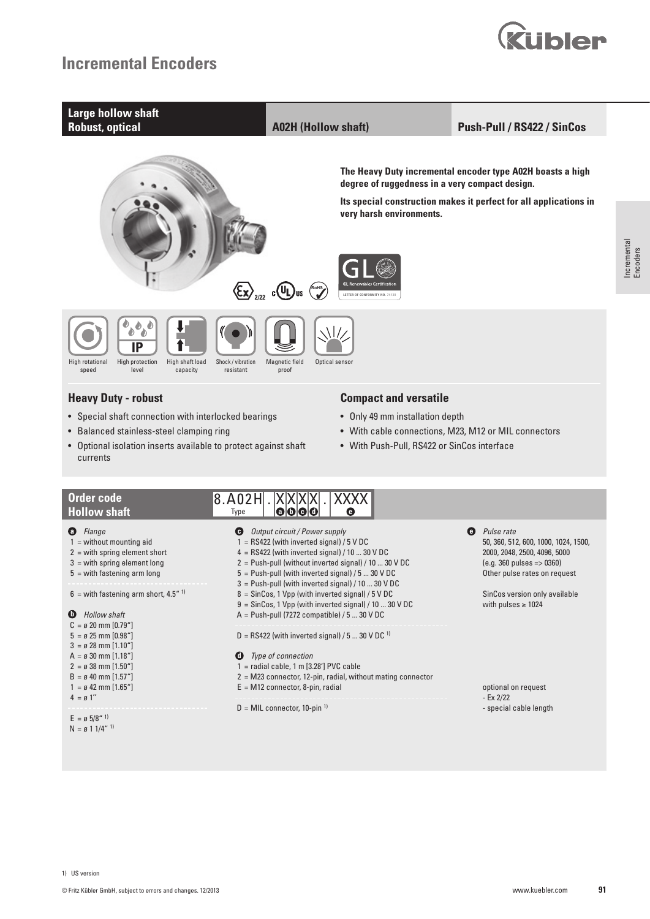

Encoders

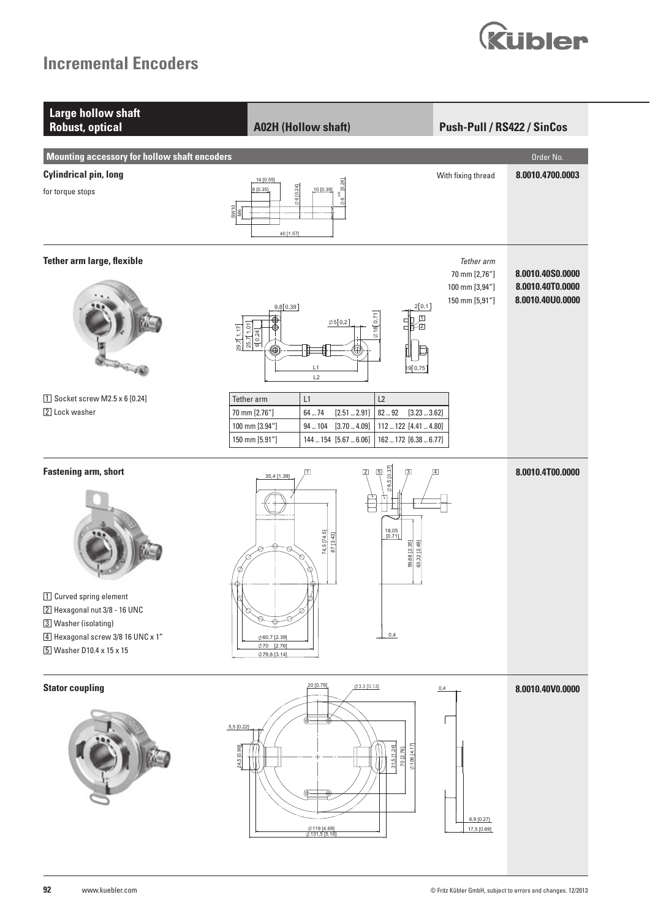

| <b>Large hollow shaft</b><br><b>Robust, optical</b>                                                                                                                             | <b>A02H (Hollow shaft)</b>                                                                                                                                                                                                     | Push-Pull / RS422 / SinCos                                      |                                                          |
|---------------------------------------------------------------------------------------------------------------------------------------------------------------------------------|--------------------------------------------------------------------------------------------------------------------------------------------------------------------------------------------------------------------------------|-----------------------------------------------------------------|----------------------------------------------------------|
| <b>Mounting accessory for hollow shaft encoders</b>                                                                                                                             |                                                                                                                                                                                                                                |                                                                 | Order No.                                                |
| <b>Cylindrical pin, long</b>                                                                                                                                                    | 14 [0.55]                                                                                                                                                                                                                      | With fixing thread                                              | 8.0010.4700.0003                                         |
| for torque stops                                                                                                                                                                | $\phi$ 6 <sup>m6</sup> [0.24]<br><b>Ø6</b> [0.24]<br>9[0.35]<br>10 [0.39]<br>$rac{9}{2}$<br>40 [1.57]                                                                                                                          |                                                                 |                                                          |
| <b>Tether arm large, flexible</b><br><b>Strategie</b>                                                                                                                           | 2[0,1]<br>9,8[0,39]<br>$\phi$ 18 $[0, 71]$<br>団<br>딥<br>۰<br>$\phi$ 5 $[0,2]$<br>$\frac{25,7[1,01]}{6[0,24]}$<br>Ō<br>7-2<br>29,7[1,17]<br>◉<br>⊛<br>19 0,75<br>L1<br>L2                                                       | Tether arm<br>70 mm [2,76"]<br>100 mm [3,94"]<br>150 mm [5,91"] | 8.0010.40S0.0000<br>8.0010.40T0.0000<br>8.0010.40U0.0000 |
| 1 Socket screw M2.5 x 6 [0.24]<br>2 Lock washer                                                                                                                                 | Tether arm<br>L1<br>L2<br>8292<br>70 mm [2.76"]<br>$64 - 74$<br>[2.512.91]<br>[3.233.62]<br>100 mm [3.94"]<br>112  122 [4.41  4.80]<br>94104<br>[3.704.09]<br>150 mm [5.91"]<br>144  154 [5.67  6.06]<br>162  172 [6.38  6.77] |                                                                 |                                                          |
| <b>Fastening arm, short</b><br>1 Curved spring element<br>2 Hexagonal nut 3/8 - 16 UNC<br>3 Washer (isolating)<br>4 Hexagonal screw 3/8 16 UNC x 1"<br>5 Washer D10.4 x 15 x 15 | [0.37]<br>$\overline{5}$<br>$\sqrt{2}$<br>◫<br>35,4 [1.39]<br>ယ့<br>$\delta$<br>18,05<br>[0.71]<br>74,5 [74.5]<br>87 [3.43]<br>59,68 [2.35]<br>63,32 [2.49]<br>0,4<br>Ø60,7 [2.39]<br>$\phi$ 70 [2.76]<br>Ø79,8 [3.14]         |                                                                 | 8.0010.4T00.0000                                         |
| <b>Stator coupling</b>                                                                                                                                                          | 20 [0.79]<br>$0.13$ $0.13$<br>$5,5$ [0.22]<br>$\phi$ 106 [4.17]<br>24,5 [0.96]<br>31, 5 [1.24]<br>70 [2.76]<br>⊕<br>Ø119 [4.69]<br>Ø131,5 [5.18]                                                                               | 0,4<br>6,9 [0.27]<br>17,5 [0.69]                                | 8.0010.40V0.0000                                         |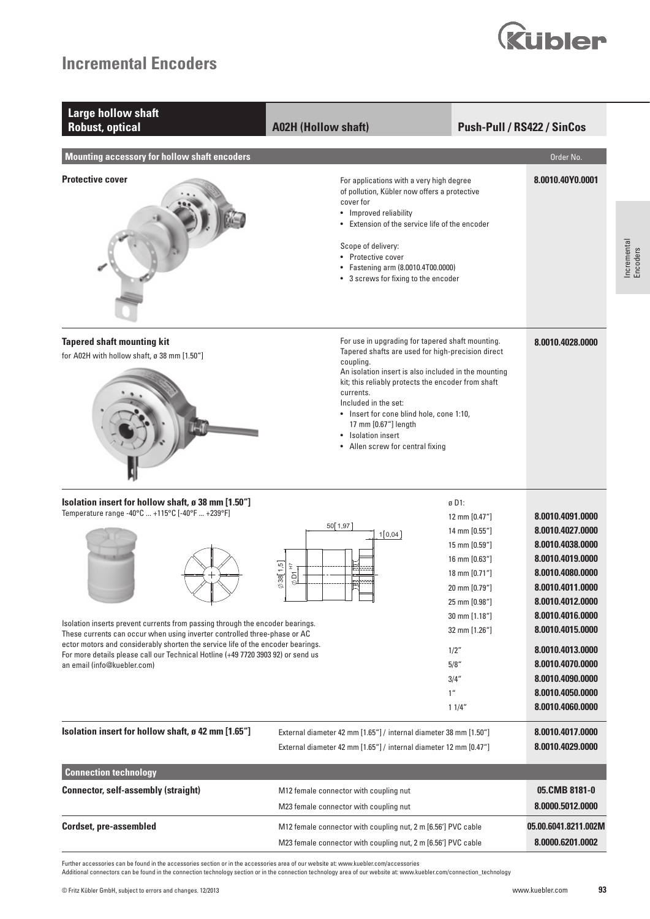

| <b>Large hollow shaft</b><br><b>Robust, optical</b>                                                                                                                                                                                                                             | <b>A02H (Hollow shaft)</b>                                                                                                                                                                                                                                                                                                                  |                                                                                                                     | Push-Pull / RS422 / SinCos                                                                                                               |  |
|---------------------------------------------------------------------------------------------------------------------------------------------------------------------------------------------------------------------------------------------------------------------------------|---------------------------------------------------------------------------------------------------------------------------------------------------------------------------------------------------------------------------------------------------------------------------------------------------------------------------------------------|---------------------------------------------------------------------------------------------------------------------|------------------------------------------------------------------------------------------------------------------------------------------|--|
| <b>Mounting accessory for hollow shaft encoders</b>                                                                                                                                                                                                                             |                                                                                                                                                                                                                                                                                                                                             |                                                                                                                     | Order No.                                                                                                                                |  |
| <b>Protective cover</b>                                                                                                                                                                                                                                                         | For applications with a very high degree<br>of pollution, Kübler now offers a protective<br>cover for<br>• Improved reliability<br>• Extension of the service life of the encoder<br>Scope of delivery:<br>• Protective cover<br>Fastening arm (8.0010.4T00.0000)<br>• 3 screws for fixing to the encoder                                   |                                                                                                                     | 8.0010.40Y0.0001                                                                                                                         |  |
| <b>Tapered shaft mounting kit</b><br>for A02H with hollow shaft, ø 38 mm [1.50"]                                                                                                                                                                                                | For use in upgrading for tapered shaft mounting.<br>Tapered shafts are used for high-precision direct<br>coupling.<br>kit; this reliably protects the encoder from shaft<br>currents.<br>Included in the set:<br>• Insert for cone blind hole, cone 1:10,<br>17 mm [0.67"] length<br>• Isolation insert<br>• Allen screw for central fixing | An isolation insert is also included in the mounting                                                                | 8.0010.4028.0000                                                                                                                         |  |
| Isolation insert for hollow shaft, ø 38 mm [1.50"]<br>Temperature range -40°C  +115°C [-40°F  +239°F]                                                                                                                                                                           |                                                                                                                                                                                                                                                                                                                                             | ø D1:                                                                                                               |                                                                                                                                          |  |
|                                                                                                                                                                                                                                                                                 | 50 1,97<br>1[0,04]<br>$\emptyset$ 38 $[1,5]$<br>£<br>$\frac{5}{9}$                                                                                                                                                                                                                                                                          | 12 mm [0.47"]<br>14 mm [0.55"]<br>15 mm [0.59"]<br>16 mm [0.63"]<br>18 mm [0.71"]<br>20 mm [0.79"]<br>25 mm [0.98"] | 8.0010.4091.0000<br>8.0010.4027.0000<br>8.0010.4038.0000<br>8.0010.4019.0000<br>8.0010.4080.0000<br>8.0010.4011.0000<br>8.0010.4012.0000 |  |
| 30 mm [1.18"]<br>Isolation inserts prevent currents from passing through the encoder bearings.<br>32 mm [1.26"]<br>These currents can occur when using inverter controlled three-phase or AC<br>ector motors and considerably shorten the service life of the encoder bearings. |                                                                                                                                                                                                                                                                                                                                             |                                                                                                                     |                                                                                                                                          |  |
| For more details please call our Technical Hotline (+49 7720 3903 92) or send us<br>an email (info@kuebler.com)                                                                                                                                                                 |                                                                                                                                                                                                                                                                                                                                             | 1/2"<br>5/8''<br>3/4"<br>1 <sup>''</sup><br>11/4"                                                                   | 8.0010.4013.0000<br>8.0010.4070.0000<br>8.0010.4090.0000<br>8.0010.4050.0000<br>8.0010.4060.0000                                         |  |
| Isolation insert for hollow shaft, ø 42 mm [1.65"]                                                                                                                                                                                                                              | External diameter 42 mm [1.65"] / internal diameter 38 mm [1.50"]<br>External diameter 42 mm [1.65"] / internal diameter 12 mm [0.47"]                                                                                                                                                                                                      |                                                                                                                     | 8.0010.4017.0000<br>8.0010.4029.0000                                                                                                     |  |
| <b>Connection technology</b>                                                                                                                                                                                                                                                    |                                                                                                                                                                                                                                                                                                                                             |                                                                                                                     |                                                                                                                                          |  |
| <b>Connector, self-assembly (straight)</b>                                                                                                                                                                                                                                      | M12 female connector with coupling nut<br>M23 female connector with coupling nut                                                                                                                                                                                                                                                            |                                                                                                                     | 05.CMB 8181-0<br>8.0000.5012.0000                                                                                                        |  |
| <b>Cordset, pre-assembled</b>                                                                                                                                                                                                                                                   | M12 female connector with coupling nut, 2 m [6.56'] PVC cable<br>M23 female connector with coupling nut, 2 m [6.56'] PVC cable                                                                                                                                                                                                              |                                                                                                                     | 05.00.6041.8211.002M<br>8.0000.6201.0002                                                                                                 |  |

Further accessories can be found in the accessories section or in the accessories area of our website at: www.kuebler.com/accessories

Additional connectors can be found in the connection technology section or in the connection technology area of our website at: www.kuebler.com/connection\_technology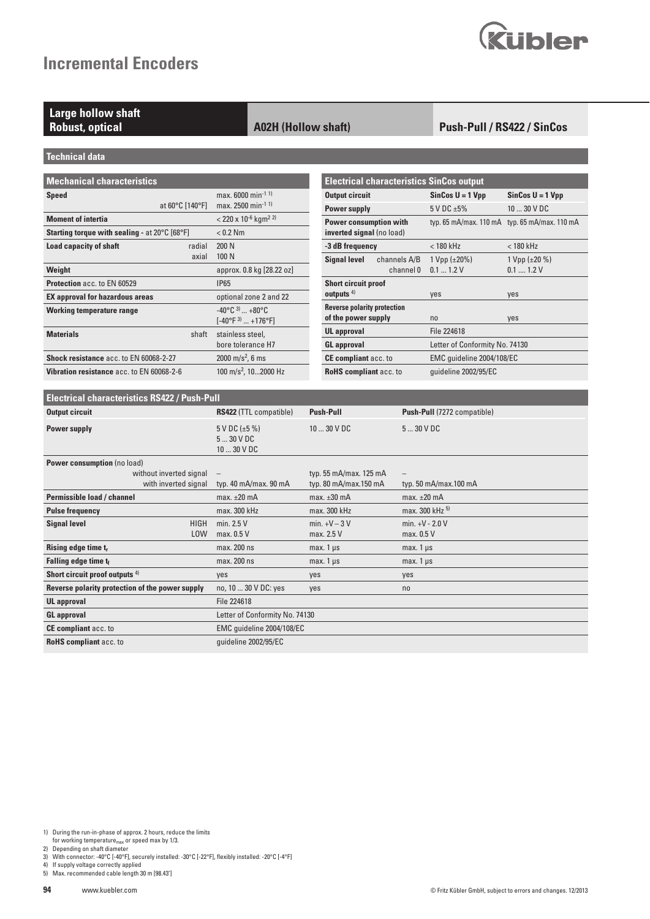# **Kubler**

## **Large hollow shaft**

#### **Robust, optical A02H (Hollow shaft)**

#### **Push-Pull / RS422 / SinCos**

**Technical data**

| <b>Mechanical characteristics</b>                      |                                                |                                                                          |  |  |  |  |
|--------------------------------------------------------|------------------------------------------------|--------------------------------------------------------------------------|--|--|--|--|
| <b>Speed</b>                                           | at 60°C [140°F]                                | max. 6000 min <sup>-1 1)</sup><br>max. 2500 min <sup>-1 1)</sup>         |  |  |  |  |
| <b>Moment of intertia</b>                              | $<$ 220 x 10 <sup>-6</sup> kgm <sup>2 2)</sup> |                                                                          |  |  |  |  |
| <b>Starting torque with sealing - at 20 °C [68 °F]</b> | $< 0.2$ Nm                                     |                                                                          |  |  |  |  |
| <b>Load capacity of shaft</b>                          | radial<br>axial                                | 200 N<br>100 N                                                           |  |  |  |  |
| Weight                                                 |                                                | approx. 0.8 kg [28.22 oz]                                                |  |  |  |  |
| <b>Protection acc. to EN 60529</b>                     |                                                | <b>IP65</b>                                                              |  |  |  |  |
| <b>EX approval for hazardous areas</b>                 | optional zone 2 and 22                         |                                                                          |  |  |  |  |
| <b>Working temperature range</b>                       |                                                | $-40^{\circ}$ C $^{3)}$ +80 $^{\circ}$ C<br>$[-40^{\circ}F^{3}]$ +176°Fl |  |  |  |  |
| <b>Materials</b>                                       | shaft                                          | stainless steel,<br>bore tolerance H7                                    |  |  |  |  |
| Shock resistance acc. to EN 60068-2-27                 |                                                | 2000 m/s <sup>2</sup> , 6 ms                                             |  |  |  |  |
| <b>Vibration resistance acc. to EN 60068-2-6</b>       |                                                | 100 m/s <sup>2</sup> , 102000 Hz                                         |  |  |  |  |

|                                                            |                                               | <b>Electrical characteristics SinCos output</b> |                                               |  |  |  |
|------------------------------------------------------------|-----------------------------------------------|-------------------------------------------------|-----------------------------------------------|--|--|--|
| <b>Output circuit</b>                                      |                                               | $SinCos U = 1 Vpp$                              | $SinCos U = 1 Vpp$                            |  |  |  |
| <b>Power supply</b>                                        |                                               | $5$ V DC $\pm 5\%$                              | 10  30 V DC                                   |  |  |  |
| <b>Power consumption with</b><br>inverted signal (no load) |                                               |                                                 | typ. 65 mA/max. 110 mA typ. 65 mA/max. 110 mA |  |  |  |
| -3 dB frequency                                            |                                               | $< 180$ kHz                                     | $< 180$ kHz                                   |  |  |  |
|                                                            | <b>Signal level</b> channels A/B<br>channel 0 | 1 Vpp $(\pm 20\%)$<br>0.11.2V                   | 1 Vpp $(\pm 20\%)$<br>$0.1$ 1.2 V             |  |  |  |
| <b>Short circuit proof</b><br>outputs $4)$                 |                                               | yes                                             | yes                                           |  |  |  |
| <b>Reverse polarity protection</b><br>of the power supply  |                                               | n <sub>0</sub>                                  | yes                                           |  |  |  |
| <b>UL</b> approval                                         |                                               | File 224618                                     |                                               |  |  |  |
| <b>GL</b> approval                                         |                                               | Letter of Conformity No. 74130                  |                                               |  |  |  |
| <b>CE compliant acc. to</b>                                |                                               | EMC quideline 2004/108/EC                       |                                               |  |  |  |
| <b>RoHS compliant acc. to</b>                              |                                               | quideline 2002/95/EC                            |                                               |  |  |  |

| <b>Electrical characteristics RS422 / Push-Pull</b> |                                             |                                                 |                                 |  |  |  |
|-----------------------------------------------------|---------------------------------------------|-------------------------------------------------|---------------------------------|--|--|--|
| <b>Output circuit</b>                               | <b>RS422 (TTL compatible)</b>               | <b>Push-Pull</b>                                | Push-Pull (7272 compatible)     |  |  |  |
| Power supply                                        | $5 V DC (+5%)$<br>$530$ V DC<br>10  30 V DC | $1030$ V DC                                     | 530VDC                          |  |  |  |
| <b>Power consumption</b> (no load)                  |                                             |                                                 |                                 |  |  |  |
| without inverted signal<br>with inverted signal     | $\qquad \qquad -$<br>typ. 40 mA/max. 90 mA  | typ. 55 mA/max. 125 mA<br>typ. 80 mA/max.150 mA | typ. 50 mA/max.100 mA           |  |  |  |
| Permissible load / channel                          | $max. \pm 20$ mA                            | $max. \pm 30$ mA                                | $max. \pm 20$ mA                |  |  |  |
| <b>Pulse frequency</b>                              | max. 300 kHz                                | max. 300 kHz                                    | max. 300 kHz 5)                 |  |  |  |
| <b>Signal level</b><br><b>HIGH</b><br><b>LOW</b>    | min. $2.5V$<br>max. 0.5 V                   | $min. +V - 3V$<br>max. 2.5 V                    | min. $+V - 2.0 V$<br>max. 0.5 V |  |  |  |
| Rising edge time tr                                 | max. 200 ns                                 | $max.1 \,\mu s$                                 | max. $1 \mu s$                  |  |  |  |
| Falling edge time tf                                | max. 200 ns                                 | $max.1 \,\mu s$                                 | max. $1 \mu s$                  |  |  |  |
| Short circuit proof outputs <sup>4)</sup>           | yes                                         | yes                                             | yes                             |  |  |  |
| Reverse polarity protection of the power supply     | no, 10  30 V DC: yes                        | yes                                             | no                              |  |  |  |
| <b>UL</b> approval                                  | File 224618                                 |                                                 |                                 |  |  |  |
| <b>GL</b> approval                                  | Letter of Conformity No. 74130              |                                                 |                                 |  |  |  |
| CE compliant acc. to                                | EMC guideline 2004/108/EC                   |                                                 |                                 |  |  |  |
| <b>RoHS</b> compliant acc. to                       | quideline 2002/95/EC                        |                                                 |                                 |  |  |  |

1) During the run-in-phase of approx. 2 hours, reduce the limits<br>for working temperature<sub>max</sub> or speed max by 1/3.<br>2) Depending on shaft diameter<br>3) With connector: -40°C [-40°F], securely installed: -30°C [-22°F], flexibl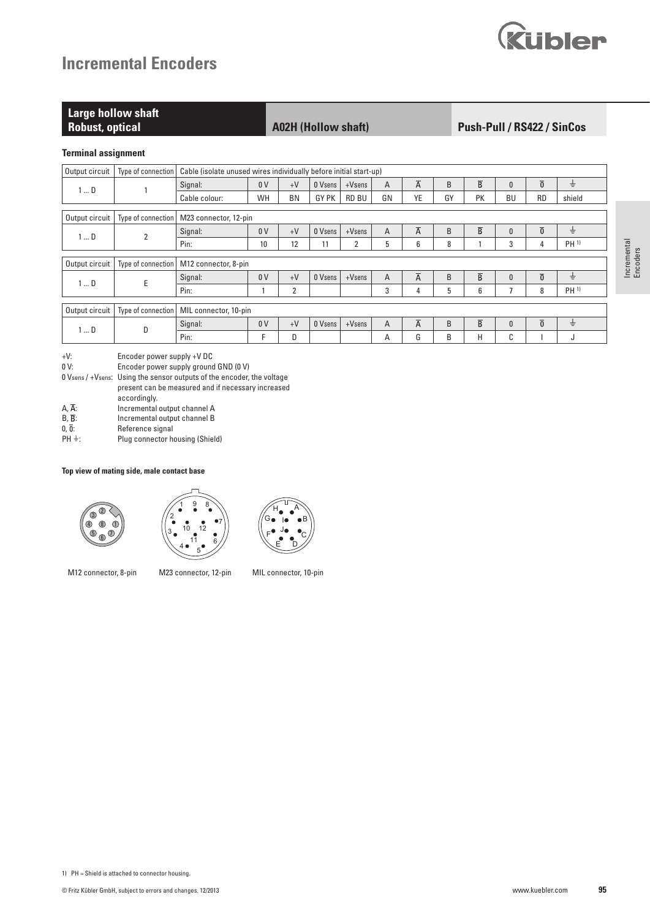| Kübler |  |
|--------|--|

| Large hollow shaft<br><b>Robust, optical</b> | <b>A02H (Hollow shaft)</b> | <b>Push-Pull / RS422 / SinCos</b> |
|----------------------------------------------|----------------------------|-----------------------------------|
| Terminal assignment                          |                            |                                   |

#### **Terminal assignment**

| Output circuit | Type of connection |                       | Cable (isolate unused wires individually before initial start-up) |                |                |           |                |                |              |                         |              |                 |                 |
|----------------|--------------------|-----------------------|-------------------------------------------------------------------|----------------|----------------|-----------|----------------|----------------|--------------|-------------------------|--------------|-----------------|-----------------|
| $1 \dots D$    |                    | Signal:               | 0 <sub>V</sub>                                                    | $+V$           | 0 Vsens        | $+V$ sens | $\overline{A}$ | $\overline{A}$ | <sub>B</sub> | $\overline{\mathsf{B}}$ | $\mathbf{0}$ | $\overline{0}$  | $\pm$           |
|                | Cable colour:      | WH                    | <b>BN</b>                                                         | GY PK          | <b>RD BU</b>   | GN        | YE             | GY             | PK           | <b>BU</b>               | <b>RD</b>    | shield          |                 |
|                |                    |                       |                                                                   |                |                |           |                |                |              |                         |              |                 |                 |
| Output circuit | Type of connection | M23 connector, 12-pin |                                                                   |                |                |           |                |                |              |                         |              |                 |                 |
| $1 \dots D$    | $\overline{2}$     | Signal:               | 0 <sup>V</sup>                                                    | $+V$           | 0 Vsens        | $+V$ sens | A              | $\overline{A}$ | B            | $\overline{B}$          | $\mathbf{0}$ | $\overline{0}$  | $\pm$           |
|                | Pin:               | 10                    | 12                                                                | 11             | $\overline{2}$ | 5         | 6              | 8              |              | 3                       | 4            | PH <sup>1</sup> |                 |
|                |                    |                       |                                                                   |                |                |           |                |                |              |                         |              |                 |                 |
| Output circuit | Type of connection | M12 connector, 8-pin  |                                                                   |                |                |           |                |                |              |                         |              |                 |                 |
|                | E<br>$1 \dots D$   | Signal:               | 0 <sup>V</sup>                                                    | $+V$           | 0 Vsens        | $+V$ sens | A              | $\overline{A}$ | B            | $\overline{B}$          | $\mathbf{0}$ | $\overline{0}$  | ÷               |
|                |                    | Pin:                  |                                                                   | $\overline{2}$ |                |           | 3              | 4              | 5            | 6                       |              | 8               | PH <sup>1</sup> |
|                |                    |                       |                                                                   |                |                |           |                |                |              |                         |              |                 |                 |
| Output circuit | Type of connection | MIL connector, 10-pin |                                                                   |                |                |           |                |                |              |                         |              |                 |                 |
| $1 \dots D$    | D                  | Signal:               | 0 <sup>V</sup>                                                    | $+V$           | 0 Vsens        | $+V$ sens | $\overline{A}$ | $\overline{A}$ | <sub>B</sub> | $\overline{B}$          | $\mathbf{0}$ | $\overline{0}$  | ÷               |
|                |                    | Pin:                  | F                                                                 | D              |                |           | A              | G              | B            | н                       | $\sim$<br>U  |                 | J               |

+V: Encoder power supply +V DC

Encoder power supply ground GND (0 V)

0 Vsens / +Vsens: Using the sensor outputs of the encoder, the voltage

present can be measured and if necessary increased

Incremental output channel A

accordingly.<br>
A,  $\overline{A}$ : <br>
B,  $\overline{B}$ : <br>
accordingly.<br>
Incremental

 $B, \overline{B}$ : Incremental output channel B<br>0,  $\overline{0}$ : Reference signal

 $0, \overline{0}$ : Reference signal<br>PH  $\pm$ : Plug connector he Plug connector housing (Shield)

#### **Top view of mating side, male contact base**







M12 connector, 8-pin M23 connector, 12-pin MIL connector, 10-pin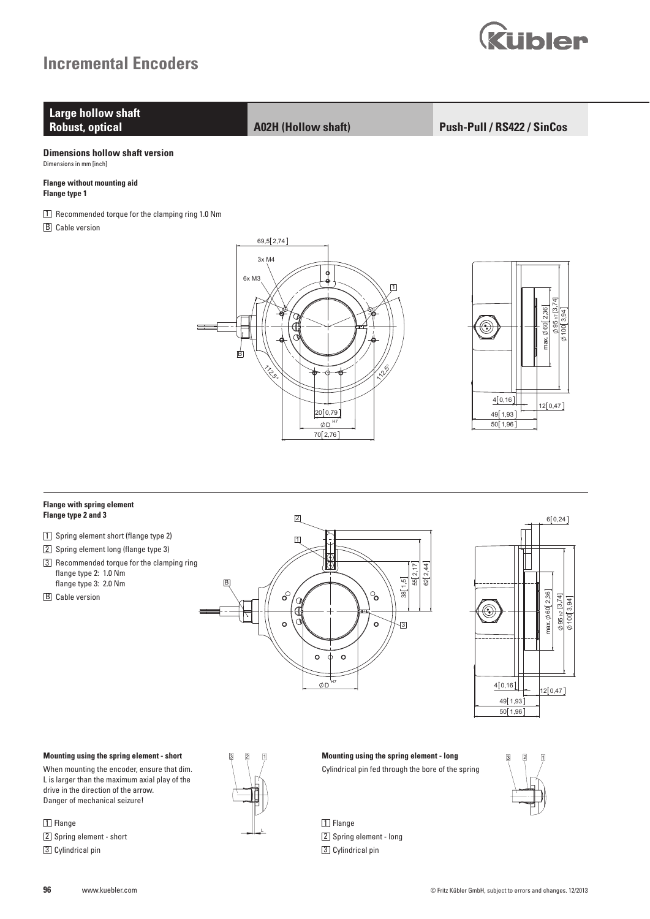



### **Flange type 2 and 3**

- 1 Spring element short (flange type 2)
- 2 Spring element long (flange type 3)
- 3 Recommended torque for the clamping ring flange type 2: 1.0 Nm flange type 3: 2.0 Nm
- **B** Cable version





#### 3 2 1 **Mounting using the spring element - short**

When mounting the encoder, ensure that dim. L is larger than the maximum axial play of the drive in the direction of the arrow. Danger of mechanical seizure!

#### 1 Flange

2 Spring element - short 3 Cylindrical pin



L

3 2 1 3 2 1 **Mounting using the spring element - long** Cylindrical pin fed through the bore of the spring



2 Spring element - long 3 Cylindrical pin

1 Flange